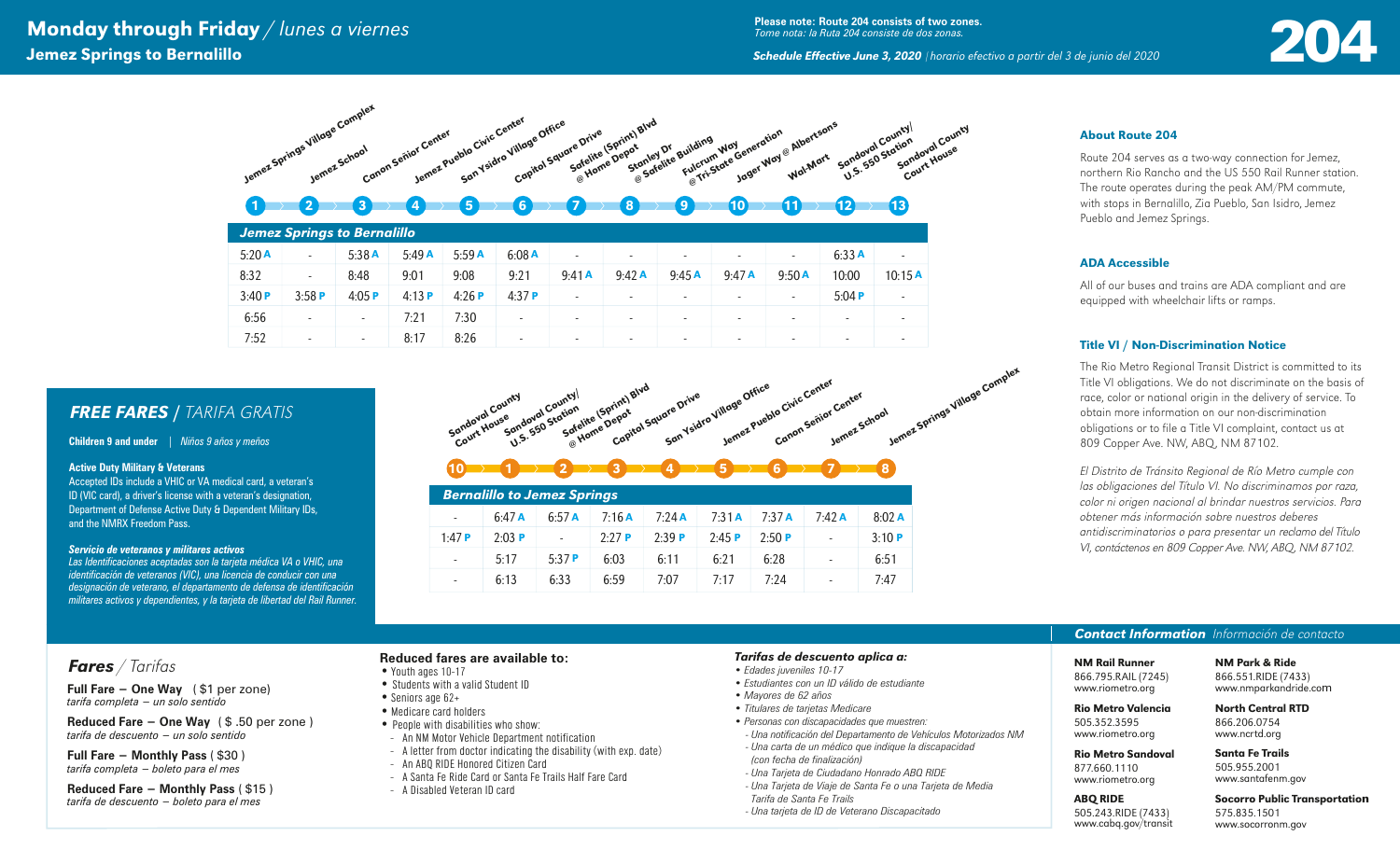# **Monday through Friday** / lunes a viernes<br> **2004 Demez Springs to Bernalillo**<br> **2004 Schedule Effective June 3, 2020** (horario efectivo a partir del 3 de junio del 2020 Anne 2020 (horario efectivo a partir del 3 de junio d Jemez Springs to Bernalillo *Schedule Effective June 3, 2020* <sup>|</sup>*horario efectivo a partir del 3 de junio del 2020*

**Please note: Route 204 consists of two zones.** *Tome nota: la Ruta 204 consiste de dos zonas.*

## About Route 204

Route 204 serves as a two-way connection for Jemez, northern Rio Rancho and the US 550 Rail Runner station. The route operates during the peak AM/PM commute, with stops in Bernalillo, Zia Pueblo, San Isidro, Jemez Pueblo and Jemez Springs.

### ADA Accessible

All of our buses and trains are ADA compliant and are equipped with wheelchair lifts or ramps.

### Title VI / Non-Discrimination Notice

The Rio Metro Regional Transit District is committed to its Title VI obligations. We do not discriminate on the basis of race, color or national origin in the delivery of service. To obtain more information on our non-discrimination obligations or to file a Title VI complaint, contact us at 809 Copper Ave. NW, ABQ, NM 87102.

El Distrito de Tránsito Regional de Río Metro cumple con las obligaciones del Título VI. No discriminamos por raza, color ni origen nacional al brindar nuestros servicios. Para obtener más información sobre nuestros deberes antidiscriminatorios o para presentar un reclamo del Título VI, contáctenos en 809 Copper Ave. NW, ABQ, NM 87102.

# *Contact Information* Información de contacto

NM Rail Runner 866.795.RAIL (7245) www.riometro.org

NM Park & Ride 866.551.RIDE (7433) www.nmparkandride.com

North Central RTD 866.206.0754

#### Rio Metro Sandoval

505.352.3595

ABQ RIDE 505.243.RIDE (7433) www.cabq.gov/transit

877.660.1110 www.riometro.org

> Socorro Public Transportation 575.835.1501 www.socorronm.gov



| 5:20A | $\overline{\phantom{a}}$ | 5:38A                    | 5:49A | 5:59A    | 6:08A                    | $\overline{\phantom{a}}$ | $\overline{\phantom{0}}$ | $\overline{\phantom{0}}$ | $\overline{\phantom{a}}$ | $\overline{\phantom{0}}$ | 6:33A                    | $\overline{\phantom{a}}$ |
|-------|--------------------------|--------------------------|-------|----------|--------------------------|--------------------------|--------------------------|--------------------------|--------------------------|--------------------------|--------------------------|--------------------------|
| 8:32  | $\overline{\phantom{a}}$ | 8:48                     | 9:01  | 9:08     | 9:21                     | 9:41A                    | 9:42A                    | 9:45A                    | 9:47A                    | 9:50A                    | 10:00                    | 10:15A                   |
| 3:40P | 3:58P                    | 4:05 $P$                 | 4:13P | 4:26 $P$ | 4:37P                    | $\overline{\phantom{a}}$ | $\overline{\phantom{a}}$ | $\overline{\phantom{a}}$ | $\overline{\phantom{a}}$ | $\overline{\phantom{a}}$ | 5:04P                    | $\overline{\phantom{a}}$ |
| 6:56  | $\sim$                   | $\overline{\phantom{0}}$ | 7:21  | 7:30     | $\overline{\phantom{0}}$ | $\overline{\phantom{a}}$ | $\overline{\phantom{0}}$ | $\overline{\phantom{0}}$ | $\overline{\phantom{a}}$ | $\overline{\phantom{a}}$ | $\overline{\phantom{0}}$ | $\overline{\phantom{0}}$ |
| 7:52  | $\overline{\phantom{a}}$ | $\overline{\phantom{a}}$ | 8:17  | 8:26     | $\overline{\phantom{0}}$ | $\overline{\phantom{a}}$ | $\overline{\phantom{0}}$ | $\overline{\phantom{0}}$ | $\overline{\phantom{a}}$ | $\overline{\phantom{0}}$ | $\overline{\phantom{0}}$ | $\overline{\phantom{0}}$ |

# *FREE FARES* / TARIFA GRATIS

**Children 9 and under** | *Niños 9 años y meños*

#### **Active Duty Military & Veterans**

Accepted IDs include a VHIC or VA medical card, a veteran's ID (VIC card), a driver's license with a veteran's designation, Department of Defense Active Duty & Dependent Military IDs, and the NMRX Freedom Pass.

#### *Servicio de veteranos y militares activos*

*Las Identificaciones aceptadas son la tarjeta médica VA o VHIC, una identificación de veteranos (VIC), una licencia de conducir con una designación de veterano, el departamento de defensa de identificación militares activos y dependientes, y la tarjeta de libertad del Rail Runner.*



|                          | <b>Bernalillo to Jemez Springs</b> |                          |          |          |       |          |                          |       |  |  |  |  |
|--------------------------|------------------------------------|--------------------------|----------|----------|-------|----------|--------------------------|-------|--|--|--|--|
| $\overline{\phantom{a}}$ | $6:47$ A                           | 6:57A                    | 7:16A    | $7:24$ A | 7:31A | $7:37$ A | 7:42A                    | 8:02A |  |  |  |  |
| 1.47P                    | $2:03$ P                           | $\overline{\phantom{a}}$ | $2:27$ P | 2:39P    | 2:45P | 2:50P    | $\overline{\phantom{a}}$ | 3:10P |  |  |  |  |
| $\overline{\phantom{a}}$ | 5:17                               | 5:37P                    | 6:03     | 6:11     | 6:21  | 6:28     | ٠                        | 6:51  |  |  |  |  |
| $\overline{\phantom{a}}$ | 6:13                               | 6:33                     | 6:59     | 7:07     | 7:17  | 7:24     | $\overline{\phantom{0}}$ | 7:47  |  |  |  |  |

# *Fares* / Tarifas

**Full Fare − One Way** ( \$1 per zone) *tarifa completa − un solo sentido*

**Reduced Fare − One Way** ( \$ .50 per zone ) *tarifa de descuento − un solo sentido*

**Full Fare − Monthly Pass** ( \$30 ) *tarifa completa − boleto para el mes*

**Reduced Fare − Monthly Pass** ( \$15 ) *tarifa de descuento − boleto para el mes*

### **Reduced fares are available to:**

- Youth ages 10-17 • Students with a valid Student ID
- Seniors age 62+
- Medicare card holders
- People with disabilities who show:
- An NM Motor Vehicle Department notification
- A letter from doctor indicating the disability (with exp. date)
- An ABQ RIDE Honored Citizen Card
- A Santa Fe Ride Card or Santa Fe Trails Half Fare Card
- A Disabled Veteran ID card

#### *Tarifas de descuento aplica a:*

- *Edades juveniles 10-17*
- *Estudiantes con un ID válido de estudiante*
- *Mayores de 62 años*
- *Titulares de tarjetas Medicare*
- *Personas con discapacidades que muestren: - Una notificación del Departamento de Vehículos Motorizados NM*
- *Una carta de un médico que indique la discapacidad (con fecha de finalización)*
- *Una Tarjeta de Ciudadano Honrado ABQ RIDE*
- *Una Tarjeta de Viaje de Santa Fe o una Tarjeta de Media*
- *Tarifa de Santa Fe Trails*
- *Una tarjeta de ID de Veterano Discapacitado*

Rio Metro Valencia

www.riometro.org www.ncrtd.org

## Santa Fe Trails

505.955.2001 www.santafenm.gov